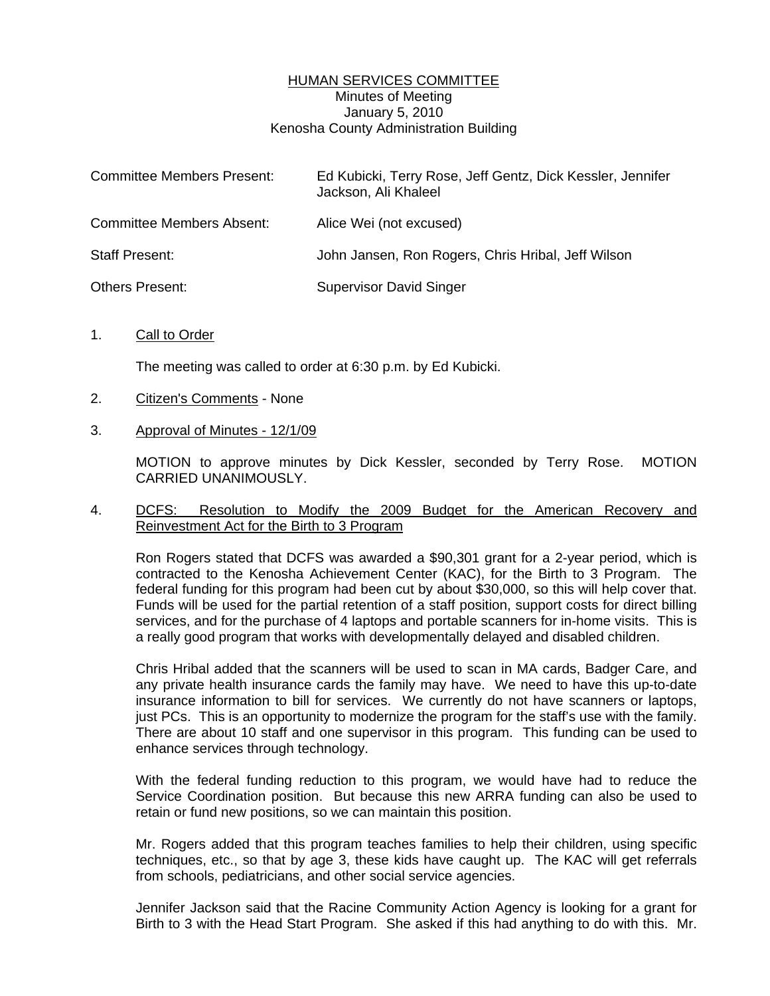# HUMAN SERVICES COMMITTEE Minutes of Meeting January 5, 2010 Kenosha County Administration Building

| <b>Committee Members Present:</b> | Ed Kubicki, Terry Rose, Jeff Gentz, Dick Kessler, Jennifer<br>Jackson, Ali Khaleel |
|-----------------------------------|------------------------------------------------------------------------------------|
| <b>Committee Members Absent:</b>  | Alice Wei (not excused)                                                            |
| <b>Staff Present:</b>             | John Jansen, Ron Rogers, Chris Hribal, Jeff Wilson                                 |
| <b>Others Present:</b>            | <b>Supervisor David Singer</b>                                                     |

1. Call to Order

The meeting was called to order at 6:30 p.m. by Ed Kubicki.

- 2. Citizen's Comments None
- 3. Approval of Minutes 12/1/09

 MOTION to approve minutes by Dick Kessler, seconded by Terry Rose. MOTION CARRIED UNANIMOUSLY.

# 4. DCFS: Resolution to Modify the 2009 Budget for the American Recovery and Reinvestment Act for the Birth to 3 Program

 Ron Rogers stated that DCFS was awarded a \$90,301 grant for a 2-year period, which is contracted to the Kenosha Achievement Center (KAC), for the Birth to 3 Program. The federal funding for this program had been cut by about \$30,000, so this will help cover that. Funds will be used for the partial retention of a staff position, support costs for direct billing services, and for the purchase of 4 laptops and portable scanners for in-home visits. This is a really good program that works with developmentally delayed and disabled children.

 Chris Hribal added that the scanners will be used to scan in MA cards, Badger Care, and any private health insurance cards the family may have. We need to have this up-to-date insurance information to bill for services. We currently do not have scanners or laptops, just PCs. This is an opportunity to modernize the program for the staff's use with the family. There are about 10 staff and one supervisor in this program. This funding can be used to enhance services through technology.

 With the federal funding reduction to this program, we would have had to reduce the Service Coordination position. But because this new ARRA funding can also be used to retain or fund new positions, so we can maintain this position.

 Mr. Rogers added that this program teaches families to help their children, using specific techniques, etc., so that by age 3, these kids have caught up. The KAC will get referrals from schools, pediatricians, and other social service agencies.

 Jennifer Jackson said that the Racine Community Action Agency is looking for a grant for Birth to 3 with the Head Start Program. She asked if this had anything to do with this. Mr.